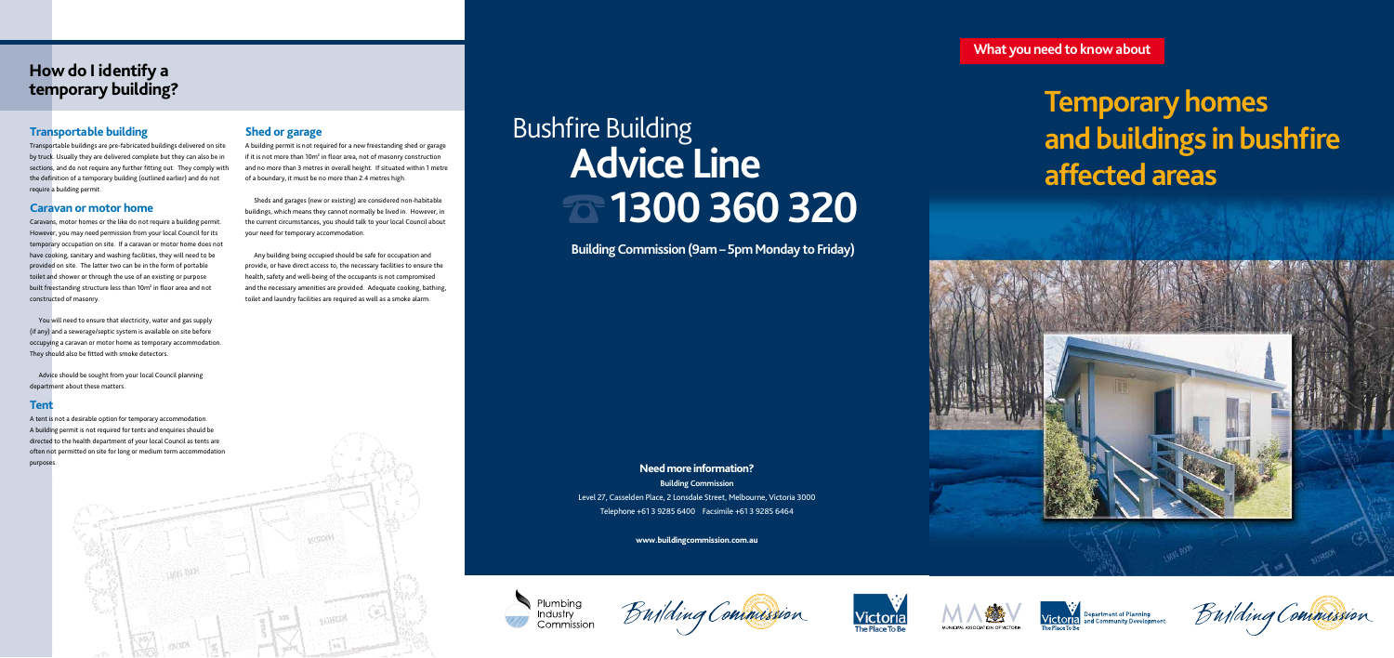# **Temporary homes**  and buildings in bushfire **affected areas**











**What you need to know about**

# **Need more information?**

**Building Commission** Level 27, Casselden Place, 2 Lonsdale Street, Melbourne, Victoria 3000 Telephone +61 3 9285 6400 Facsimile +61 3 9285 6464

# **Bushfire Building** ☎ **1300 360 320 Advice Line**

**www.buildingcommission.com.au**





**Building Commission (9am – 5pm Monday to Friday)**

# **Transportable building**

Transportable buildings are pre-fabricated buildings delivered on site by truck. Usually they are delivered complete but they can also be in sections, and do not require any further fitting out. They comply with the definition of a temporary building (outlined earlier) and do not require a building permit.

You will need to ensure that electricity, water and gas supply (if any) and a sewerage/septic system is available on site before occupying a caravan or motor home as temporary accommodation. They should also be fitted with smoke detectors.

## **Caravan or motor home**

Caravans, motor homes or the like do not require a building permit. However, you may need permission from your local Council for its temporary occupation on site. If a caravan or motor home does not have cooking, sanitary and washing facilities, they will need to be provided on site. The latter two can be in the form of portable toilet and shower or through the use of an existing or purpose built freestanding structure less than 10m<sup>2</sup> in floor area and not constructed of masonry.

Advice should be sought from your local Council planning department about these matters.

### **Tent**

A tent is not a desirable option for temporary accommodation. A building permit is not required for tents and enquiries should be directed to the health department of your local Council as tents are often not permitted on site for long or medium term accommodation purposes.

# **Shed or garage**

A building permit is not required for a new freestanding shed or garage if it is not more than  $10m^2$  in floor area, not of masonry construction and no more than 3 metres in overall height. If situated within 1 metre of a boundary, it must be no more than 2.4 metres high.

Sheds and garages (new or existing) are considered non-habitable buildings, which means they cannot normally be lived in. However, in the current circumstances, you should talk to your local Council about your need for temporary accommodation.

Any building being occupied should be safe for occupation and provide, or have direct access to, the necessary facilities to ensure the health, safety and well-being of the occupants is not compromised and the necessary amenities are provided. Adequate cooking, bathing, toilet and laundry facilities are required as well as a smoke alarm.

# **How do I identify a temporary building?**